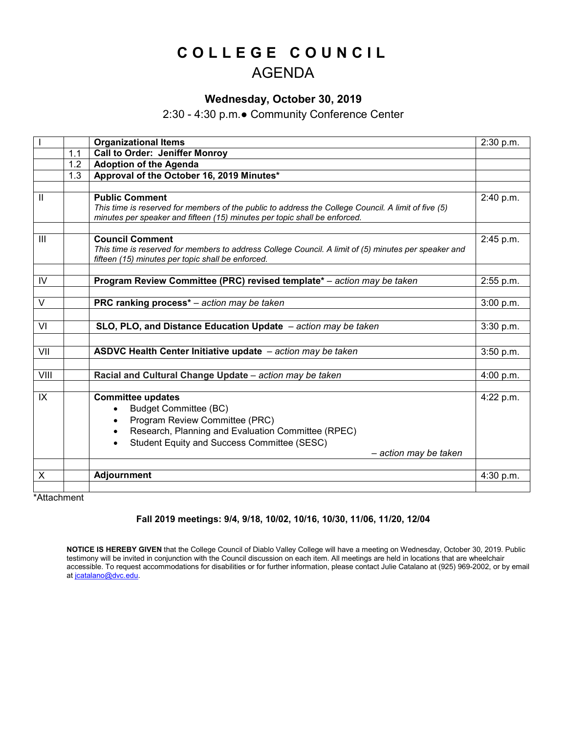# **COLLEGE COUNCIL** AGENDA

# **Wednesday, October 30, 2019**

# 2:30 - 4:30 p.m.● Community Conference Center

|                |     | <b>Organizational Items</b>                                                                                                                                                         | 2:30 p.m. |
|----------------|-----|-------------------------------------------------------------------------------------------------------------------------------------------------------------------------------------|-----------|
|                | 1.1 | <b>Call to Order: Jeniffer Monroy</b>                                                                                                                                               |           |
|                | 1.2 | <b>Adoption of the Agenda</b>                                                                                                                                                       |           |
|                | 1.3 | Approval of the October 16, 2019 Minutes*                                                                                                                                           |           |
|                |     |                                                                                                                                                                                     |           |
| $\mathbf{I}$   |     | <b>Public Comment</b><br>This time is reserved for members of the public to address the College Council. A limit of five (5)                                                        | 2:40 p.m. |
|                |     | minutes per speaker and fifteen (15) minutes per topic shall be enforced.                                                                                                           |           |
| $\mathbf{III}$ |     | <b>Council Comment</b><br>This time is reserved for members to address College Council. A limit of (5) minutes per speaker and<br>fifteen (15) minutes per topic shall be enforced. | 2:45 p.m. |
|                |     |                                                                                                                                                                                     |           |
| IV.            |     | Program Review Committee (PRC) revised template* - action may be taken                                                                                                              | 2:55 p.m. |
|                |     |                                                                                                                                                                                     |           |
| $\vee$         |     | PRC ranking process* - action may be taken                                                                                                                                          | 3:00 p.m. |
|                |     |                                                                                                                                                                                     |           |
| VI             |     | SLO, PLO, and Distance Education Update - action may be taken                                                                                                                       | 3:30 p.m. |
|                |     |                                                                                                                                                                                     |           |
| VII            |     | ASDVC Health Center Initiative update - action may be taken                                                                                                                         | 3:50 p.m. |
|                |     |                                                                                                                                                                                     |           |
| VIII           |     | Racial and Cultural Change Update - action may be taken                                                                                                                             | 4:00 p.m. |
|                |     |                                                                                                                                                                                     |           |
| IX             |     | <b>Committee updates</b>                                                                                                                                                            | 4:22 p.m. |
|                |     | <b>Budget Committee (BC)</b><br>$\bullet$                                                                                                                                           |           |
|                |     | Program Review Committee (PRC)                                                                                                                                                      |           |
|                |     | Research, Planning and Evaluation Committee (RPEC)                                                                                                                                  |           |
|                |     | Student Equity and Success Committee (SESC)<br>$\bullet$                                                                                                                            |           |
|                |     | - action may be taken                                                                                                                                                               |           |
|                |     |                                                                                                                                                                                     |           |
| X              |     | <b>Adjournment</b>                                                                                                                                                                  | 4:30 p.m. |
|                |     |                                                                                                                                                                                     |           |

\*Attachment

#### **Fall 2019 meetings: 9/4, 9/18, 10/02, 10/16, 10/30, 11/06, 11/20, 12/04**

**NOTICE IS HEREBY GIVEN** that the College Council of Diablo Valley College will have a meeting on Wednesday, October 30, 2019. Public testimony will be invited in conjunction with the Council discussion on each item. All meetings are held in locations that are wheelchair accessible. To request accommodations for disabilities or for further information, please contact Julie Catalano at (925) 969-2002, or by email at joatalano@dvc.edu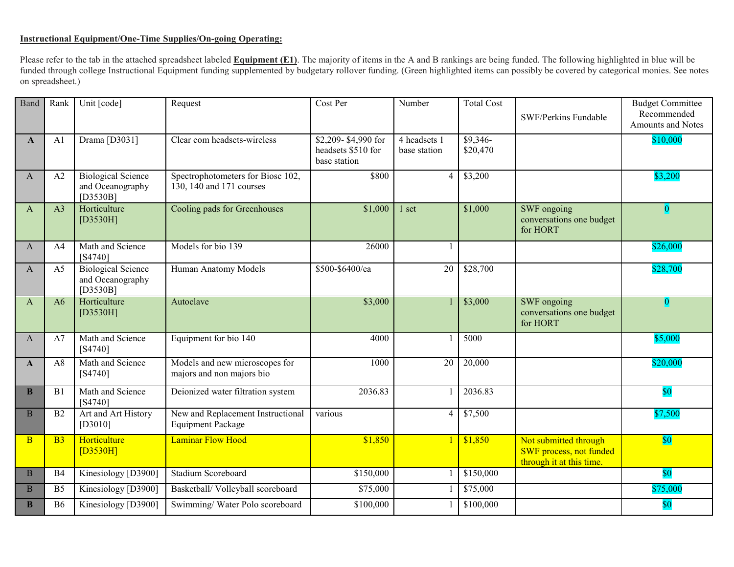### **Instructional Equipment/One-Time Supplies/On-going Operating:**

Please refer to the tab in the attached spreadsheet labeled **Equipment (E1)**. The majority of items in the A and B rankings are being funded. The following highlighted in blue will be funded through college Instructional Equipment funding supplemented by budgetary rollover funding. (Green highlighted items can possibly be covered by categorical monies. See notes on spreadsheet.)

| Band           | Rank           | Unit [code]                                                   | Request                                                       | Cost Per                                                  | Number                       | <b>Total Cost</b>     | SWF/Perkins Fundable                                                         | <b>Budget Committee</b><br>Recommended<br><b>Amounts and Notes</b> |
|----------------|----------------|---------------------------------------------------------------|---------------------------------------------------------------|-----------------------------------------------------------|------------------------------|-----------------------|------------------------------------------------------------------------------|--------------------------------------------------------------------|
| $\mathbf{A}$   | A <sub>1</sub> | Drama [D3031]                                                 | Clear com headsets-wireless                                   | \$2,209-\$4,990 for<br>headsets \$510 for<br>base station | 4 headsets 1<br>base station | $$9,346-$<br>\$20,470 |                                                                              | \$10,000                                                           |
| A              | A <sub>2</sub> | <b>Biological Science</b><br>and Oceanography<br>[ $D3530B$ ] | Spectrophotometers for Biosc 102,<br>130, 140 and 171 courses | \$800                                                     | 4                            | \$3,200               |                                                                              | \$3,200                                                            |
| A              | A <sub>3</sub> | Horticulture<br>[D3530H]                                      | Cooling pads for Greenhouses                                  | \$1,000                                                   | 1 set                        | \$1,000               | SWF ongoing<br>conversations one budget<br>for HORT                          | $\overline{\mathbf{0}}$                                            |
| A              | A4             | Math and Science<br>$[S4740]$                                 | Models for bio 139                                            | 26000                                                     | -1                           |                       |                                                                              | \$26,000                                                           |
| A              | A <sub>5</sub> | <b>Biological Science</b><br>and Oceanography<br>[ $D3530B$ ] | Human Anatomy Models                                          | \$500-\$6400/ea                                           | 20                           | \$28,700              |                                                                              | \$28,700                                                           |
| $\mathsf{A}$   | A6             | Horticulture<br>[D3530H]                                      | Autoclave                                                     | \$3,000                                                   |                              | \$3,000               | SWF ongoing<br>conversations one budget<br>for HORT                          | $\overline{\mathbf{0}}$                                            |
| $\mathbf{A}$   | A7             | Math and Science<br>$[S4740]$                                 | Equipment for bio 140                                         | 4000                                                      |                              | 5000                  |                                                                              | \$5,000                                                            |
| $\mathbf{A}$   | A8             | Math and Science<br>$[$ 4740]                                 | Models and new microscopes for<br>majors and non majors bio   | 1000                                                      | $\overline{20}$              | 20,000                |                                                                              | \$20,000                                                           |
| $\mathbf{B}$   | B1             | Math and Science<br>$[S4740]$                                 | Deionized water filtration system                             | 2036.83                                                   |                              | 2036.83               |                                                                              | $\$0$                                                              |
| $\mathbf{B}$   | B2             | Art and Art History<br>$[D3010]$                              | New and Replacement Instructional<br><b>Equipment Package</b> | various                                                   | $\overline{4}$               | \$7,500               |                                                                              | \$7,500                                                            |
| $\overline{B}$ | B <sub>3</sub> | Horticulture<br>[D3530H]                                      | <b>Laminar Flow Hood</b>                                      | \$1,850                                                   |                              | \$1,850               | Not submitted through<br>SWF process, not funded<br>through it at this time. | $\sqrt[6]{80}$                                                     |
| $\mathbf{B}$   | B <sub>4</sub> | Kinesiology [D3900]                                           | <b>Stadium Scoreboard</b>                                     | \$150,000                                                 |                              | \$150,000             |                                                                              | \$0                                                                |
| $\mathbf{B}$   | B <sub>5</sub> | Kinesiology [D3900]                                           | Basketball/ Volleyball scoreboard                             | \$75,000                                                  | 1                            | \$75,000              |                                                                              | \$75,000                                                           |
| <sub>B</sub>   | <b>B6</b>      | Kinesiology [D3900]                                           | Swimming/Water Polo scoreboard                                | \$100,000                                                 |                              | \$100,000             |                                                                              | \$0                                                                |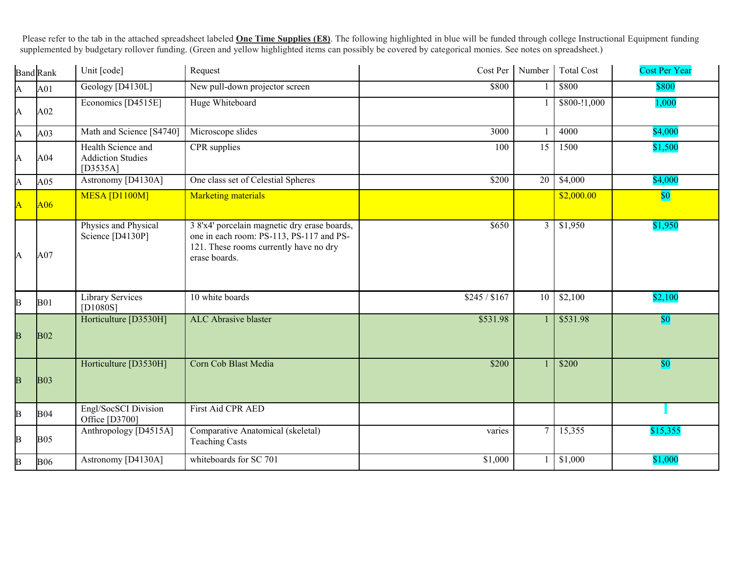Please refer to the tab in the attached spreadsheet labeled **One Time Supplies (E8)**. The following highlighted in blue will be funded through college Instructional Equipment funding supplemented by budgetary rollover funding. (Green and yellow highlighted items can possibly be covered by categorical monies. See notes on spreadsheet.)

|                         | <b>Band Rank</b> | Unit [code]                                                  | Request                                                                                                                                             | Cost Per Number |                 | <b>Total Cost</b> | <b>Cost Per Year</b> |
|-------------------------|------------------|--------------------------------------------------------------|-----------------------------------------------------------------------------------------------------------------------------------------------------|-----------------|-----------------|-------------------|----------------------|
| A                       | A01              | Geology [D4130L]                                             | New pull-down projector screen                                                                                                                      | \$800           |                 | \$800             | \$800                |
| A                       | A02              | Economics [D4515E]                                           | Huge Whiteboard                                                                                                                                     |                 |                 | \$800-!1,000      | 1,000                |
| A                       | A <sub>03</sub>  | Math and Science [S4740]                                     | Microscope slides                                                                                                                                   | 3000            | $\mathbf{1}$    | 4000              | \$4,000              |
| A                       | A04              | Health Science and<br><b>Addiction Studies</b><br>$[D3535A]$ | CPR supplies                                                                                                                                        | $\overline{15}$ | 1500            | \$1,500           |                      |
| A                       | A05              | Astronomy [D4130A]                                           | One class set of Celestial Spheres                                                                                                                  | \$200           | $\overline{20}$ | \$4,000           | \$4,000              |
| Ā                       | A06              | MESA [D1100M]                                                | <b>Marketing materials</b>                                                                                                                          |                 |                 | \$2,000.00        | $ 10\rangle$         |
| A                       | A07              | Physics and Physical<br>Science [D4130P]                     | 3 8'x4' porcelain magnetic dry erase boards,<br>one in each room: PS-113, PS-117 and PS-<br>121. These rooms currently have no dry<br>erase boards. | \$650           | $\mathfrak{Z}$  | \$1,950           | \$1,950              |
| B                       | <b>B01</b>       | Library Services<br>[D1080S]                                 | 10 white boards                                                                                                                                     | \$245 / \$167   | 10              | \$2,100           | \$2,100              |
| B                       | <b>B02</b>       | Horticulture [D3530H]                                        | ALC Abrasive blaster                                                                                                                                | \$531.98        | $\mathbf{1}$    | \$531.98          | \$0                  |
| $\overline{\mathbf{B}}$ | B <sub>03</sub>  | Horticulture [D3530H]                                        | Corn Cob Blast Media                                                                                                                                | \$200           | $\mathbf{1}$    | \$200             | \$0                  |
| B                       | <b>B04</b>       | Engl/SocSCI Division<br>Office [D3700]                       | First Aid CPR AED                                                                                                                                   |                 |                 |                   |                      |
| B                       | <b>B05</b>       | Anthropology [D4515A]                                        | Comparative Anatomical (skeletal)<br><b>Teaching Casts</b>                                                                                          | varies          | $7\phantom{.0}$ | 15,355            | \$15,355             |
| B                       | <b>B06</b>       | Astronomy [D4130A]                                           | whiteboards for SC 701                                                                                                                              | \$1,000         | 1               | \$1,000           | \$1,000              |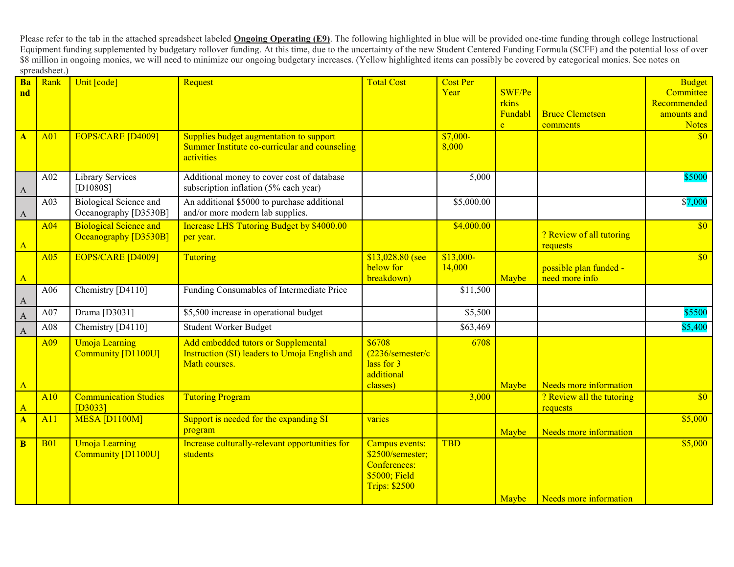Please refer to the tab in the attached spreadsheet labeled **Ongoing Operating (E9)**. The following highlighted in blue will be provided one-time funding through college Instructional Equipment funding supplemented by budgetary rollover funding. At this time, due to the uncertainty of the new Student Centered Funding Formula (SCFF) and the potential loss of over \$8 million in ongoing monies, we will need to minimize our ongoing budgetary increases. (Yellow highlighted items can possibly be covered by categorical monies. See notes on spreadsheet.)

| Ba                        | Rank       | Unit [code]                   | Request                                          | <b>Total Cost</b>          | <b>Cost Per</b> |              |                           | <b>Budget</b> |
|---------------------------|------------|-------------------------------|--------------------------------------------------|----------------------------|-----------------|--------------|---------------------------|---------------|
| nd                        |            |                               |                                                  |                            | Year            | SWF/Pe       |                           | Committee     |
|                           |            |                               |                                                  |                            |                 | rkins        |                           | Recommended   |
|                           |            |                               |                                                  |                            |                 | Fundabl      | <b>Bruce Clemetsen</b>    | amounts and   |
|                           |            |                               |                                                  |                            |                 | $\mathbf{e}$ | comments                  | <b>Notes</b>  |
| $\mathbf{A}$              | A01        | <b>EOPS/CARE [D4009]</b>      | Supplies budget augmentation to support          |                            | $$7,000-$       |              |                           | \$0           |
|                           |            |                               | Summer Institute co-curricular and counseling    |                            | 8,000           |              |                           |               |
|                           |            |                               | activities                                       |                            |                 |              |                           |               |
|                           | A02        | Library Services              | Additional money to cover cost of database       |                            | 5,000           |              |                           | \$5000        |
|                           |            | [D1080S]                      | subscription inflation (5% each year)            |                            |                 |              |                           |               |
| $\mathbf{A}$              |            |                               |                                                  |                            |                 |              |                           |               |
|                           | A03        | <b>Biological Science and</b> | An additional \$5000 to purchase additional      |                            | \$5,000.00      |              |                           | \$7,000       |
| $\boldsymbol{\mathsf{A}}$ |            | Oceanography [D3530B]         | and/or more modern lab supplies.                 |                            |                 |              |                           |               |
|                           | A04        | <b>Biological Science and</b> | <b>Increase LHS Tutoring Budget by \$4000.00</b> |                            | \$4,000.00      |              | ? Review of all tutoring  | \$0           |
| $\mathbf{A}$              |            | Oceanography [D3530B]         | per year.                                        |                            |                 |              | requests                  |               |
|                           | A05        | EOPS/CARE [D4009]             | <b>Tutoring</b>                                  | $$13,028.80$ (see          | $$13,000-$      |              |                           | $\sqrt{60}$   |
|                           |            |                               |                                                  | below for                  | 14,000          |              | possible plan funded -    |               |
| $\mathbf{A}$              |            |                               |                                                  | breakdown)                 |                 | Maybe        | need more info            |               |
|                           | A06        | Chemistry [D4110]             | Funding Consumables of Intermediate Price        |                            | \$11,500        |              |                           |               |
| $\mathbf{A}$              |            |                               |                                                  |                            |                 |              |                           |               |
| $\mathbf{A}$              | A07        | Drama [D3031]                 | \$5,500 increase in operational budget           |                            | \$5,500         |              |                           | \$5500        |
| $\mathbf{A}$              | A08        | Chemistry [D4110]             | Student Worker Budget                            |                            | \$63,469        |              |                           | \$5,400       |
|                           | A09        | <b>Umoja Learning</b>         | Add embedded tutors or Supplemental              | \$6708                     | 6708            |              |                           |               |
|                           |            | <b>Community [D1100U]</b>     | Instruction (SI) leaders to Umoja English and    | $(2236/\text{semester/c})$ |                 |              |                           |               |
|                           |            |                               | Math courses.                                    | lass for 3                 |                 |              |                           |               |
|                           |            |                               |                                                  | additional                 |                 |              |                           |               |
| $\mathbf{A}$              |            |                               |                                                  | classes)                   |                 | Maybe        | Needs more information    |               |
|                           | A10        | <b>Communication Studies</b>  | <b>Tutoring Program</b>                          |                            | 3,000           |              | ? Review all the tutoring | \$0           |
| $\mathbf{A}$              |            | $[D3033]$                     |                                                  |                            |                 |              | requests                  |               |
| $\overline{\mathbf{A}}$   | A11        | MESA [D1100M]                 | Support is needed for the expanding SI           | varies                     |                 |              |                           | \$5,000       |
|                           |            |                               | program                                          |                            |                 | Maybe        | Needs more information    |               |
| $\bf{B}$                  | <b>B01</b> | <b>Umoja Learning</b>         | Increase culturally-relevant opportunities for   | Campus events:             | <b>TBD</b>      |              |                           | \$5,000       |
|                           |            | <b>Community [D1100U]</b>     | students                                         | \$2500/semester;           |                 |              |                           |               |
|                           |            |                               |                                                  | <b>Conferences:</b>        |                 |              |                           |               |
|                           |            |                               |                                                  | \$5000; Field              |                 |              |                           |               |
|                           |            |                               |                                                  | <b>Trips: \$2500</b>       |                 |              |                           |               |
|                           |            |                               |                                                  |                            |                 | Maybe        | Needs more information    |               |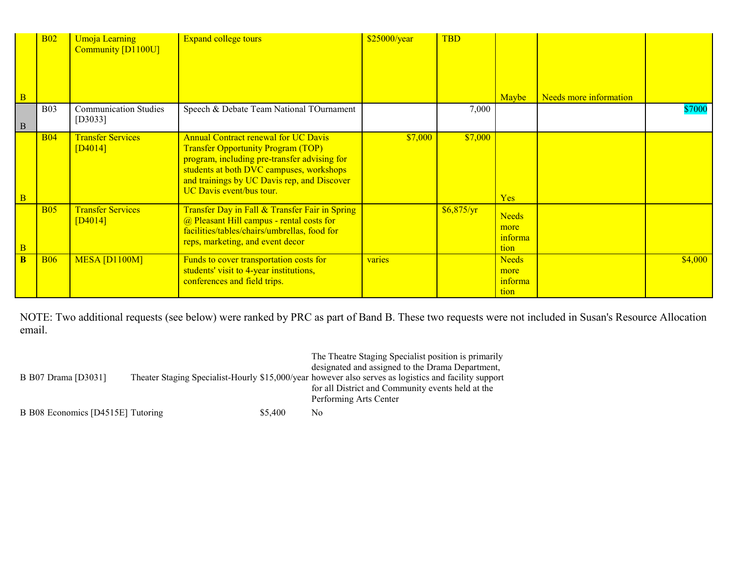|                | <b>B02</b> | <b>Umoja Learning</b><br>Community [D1100U] | <b>Expand college tours</b>                                                                                                                                                                                                                                     | \$25000/year | <b>TBD</b>   |                                         |                        |         |
|----------------|------------|---------------------------------------------|-----------------------------------------------------------------------------------------------------------------------------------------------------------------------------------------------------------------------------------------------------------------|--------------|--------------|-----------------------------------------|------------------------|---------|
|                |            |                                             |                                                                                                                                                                                                                                                                 |              |              |                                         |                        |         |
|                |            |                                             |                                                                                                                                                                                                                                                                 |              |              |                                         |                        |         |
| $\overline{B}$ |            |                                             |                                                                                                                                                                                                                                                                 |              |              | Maybe                                   | Needs more information |         |
| $\vert$ B      | <b>B03</b> | <b>Communication Studies</b><br>$[D3033]$   | Speech & Debate Team National TOurnament                                                                                                                                                                                                                        |              | 7,000        |                                         |                        | \$7000  |
| $\overline{B}$ | <b>B04</b> | <b>Transfer Services</b><br>[D4014]         | <b>Annual Contract renewal for UC Davis</b><br><b>Transfer Opportunity Program (TOP)</b><br>program, including pre-transfer advising for<br>students at both DVC campuses, workshops<br>and trainings by UC Davis rep, and Discover<br>UC Davis event/bus tour. | \$7,000      | \$7,000      | Yes                                     |                        |         |
| $\overline{B}$ | <b>B05</b> | <b>Transfer Services</b><br>[D4014]         | Transfer Day in Fall & Transfer Fair in Spring<br>@ Pleasant Hill campus - rental costs for<br>facilities/tables/chairs/umbrellas, food for<br>reps, marketing, and event decor                                                                                 |              | \$6,875/yr\$ | <b>Needs</b><br>more<br>informa<br>tion |                        |         |
| <sub>B</sub>   | <b>B06</b> | MESA [D1100M]                               | Funds to cover transportation costs for<br>students' visit to 4-year institutions,<br>conferences and field trips.                                                                                                                                              | varies       |              | <b>Needs</b><br>more<br>informa<br>tion |                        | \$4,000 |

NOTE: Two additional requests (see below) were ranked by PRC as part of Band B. These two requests were not included in Susan's Resource Allocation email.

|                                   |         | The Theatre Staging Specialist position is primarily                                                  |
|-----------------------------------|---------|-------------------------------------------------------------------------------------------------------|
|                                   |         | designated and assigned to the Drama Department,                                                      |
| B B07 Drama [D3031]               |         | Theater Staging Specialist-Hourly \$15,000/year however also serves as logistics and facility support |
|                                   |         | for all District and Community events held at the                                                     |
|                                   |         | Performing Arts Center                                                                                |
| B B08 Economics [D4515E] Tutoring | \$5,400 | No                                                                                                    |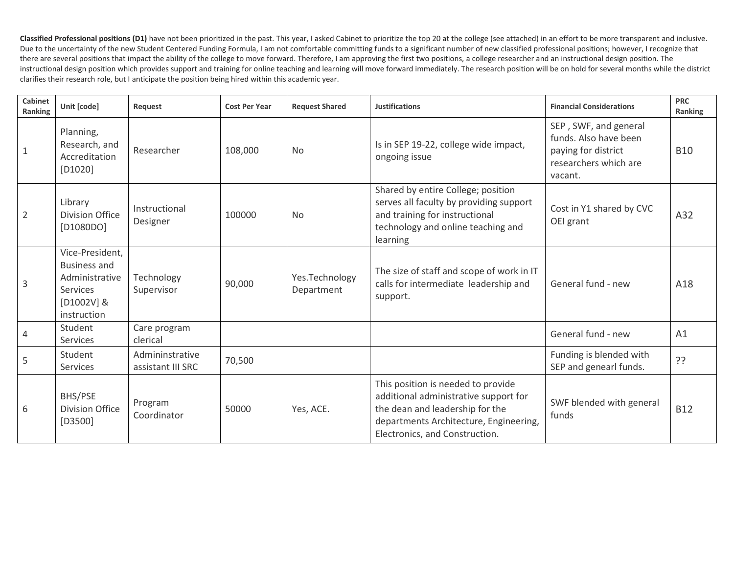Classified Professional positions (D1) have not been prioritized in the past. This year, I asked Cabinet to prioritize the top 20 at the college (see attached) in an effort to be more transparent and inclusive. Due to the uncertainty of the new Student Centered Funding Formula, I am not comfortable committing funds to a significant number of new classified professional positions; however, I recognize that there are several positions that impact the ability of the college to move forward. Therefore, I am approving the first two positions, a college researcher and an instructional design position. The instructional design position which provides support and training for online teaching and learning will move forward immediately. The research position will be on hold for several months while the district clarifies their research role, but I anticipate the position being hired within this academic year.

| Cabinet<br>Ranking | Unit [code]                                                                                                | Request                              | <b>Cost Per Year</b> | <b>Request Shared</b>        | <b>Justifications</b>                                                                                                                                                                      | <b>Financial Considerations</b>                                                                           | <b>PRC</b><br>Ranking |
|--------------------|------------------------------------------------------------------------------------------------------------|--------------------------------------|----------------------|------------------------------|--------------------------------------------------------------------------------------------------------------------------------------------------------------------------------------------|-----------------------------------------------------------------------------------------------------------|-----------------------|
| $\overline{1}$     | Planning,<br>Research, and<br>Accreditation<br>$[D1020]$                                                   | Researcher                           | 108,000              | <b>No</b>                    | Is in SEP 19-22, college wide impact,<br>ongoing issue                                                                                                                                     | SEP, SWF, and general<br>funds. Also have been<br>paying for district<br>researchers which are<br>vacant. | <b>B10</b>            |
| $\overline{2}$     | Library<br><b>Division Office</b><br>[D1080DO]                                                             | Instructional<br>Designer            | 100000               | <b>No</b>                    | Shared by entire College; position<br>serves all faculty by providing support<br>and training for instructional<br>technology and online teaching and<br>learning                          | Cost in Y1 shared by CVC<br>OEI grant                                                                     | A32                   |
| $\overline{3}$     | Vice-President,<br><b>Business and</b><br>Administrative<br><b>Services</b><br>$[D1002V]$ &<br>instruction | Technology<br>Supervisor             | 90,000               | Yes.Technology<br>Department | The size of staff and scope of work in IT<br>calls for intermediate leadership and<br>support.                                                                                             | General fund - new                                                                                        | A18                   |
| $\overline{4}$     | Student<br><b>Services</b>                                                                                 | Care program<br>clerical             |                      |                              |                                                                                                                                                                                            | General fund - new                                                                                        | A1                    |
| 5                  | Student<br><b>Services</b>                                                                                 | Admininstrative<br>assistant III SRC | 70,500               |                              |                                                                                                                                                                                            | Funding is blended with<br>SEP and genearl funds.                                                         | ??                    |
| 6                  | BHS/PSE<br><b>Division Office</b><br>$[D3500]$                                                             | Program<br>Coordinator               | 50000                | Yes, ACE.                    | This position is needed to provide<br>additional administrative support for<br>the dean and leadership for the<br>departments Architecture, Engineering,<br>Electronics, and Construction. | SWF blended with general<br>funds                                                                         | <b>B12</b>            |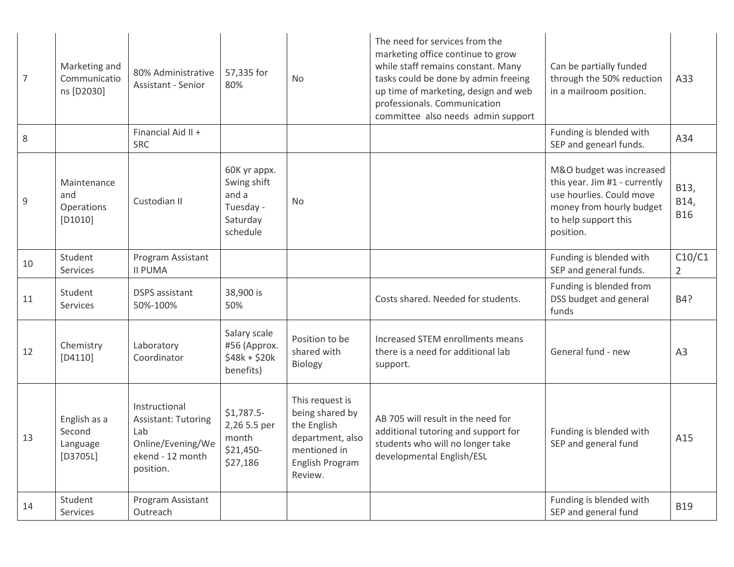| 7  | Marketing and<br>Communicatio<br>ns [D2030]      | 80% Administrative<br>Assistant - Senior                                                                 | 57,335 for<br>80%                                                         | <b>No</b>                                                                                                           | The need for services from the<br>marketing office continue to grow<br>while staff remains constant. Many<br>tasks could be done by admin freeing<br>up time of marketing, design and web<br>professionals. Communication<br>committee also needs admin support | Can be partially funded<br>through the 50% reduction<br>in a mailroom position.                                                                        | A33                        |
|----|--------------------------------------------------|----------------------------------------------------------------------------------------------------------|---------------------------------------------------------------------------|---------------------------------------------------------------------------------------------------------------------|-----------------------------------------------------------------------------------------------------------------------------------------------------------------------------------------------------------------------------------------------------------------|--------------------------------------------------------------------------------------------------------------------------------------------------------|----------------------------|
| 8  |                                                  | Financial Aid II +<br><b>SRC</b>                                                                         |                                                                           |                                                                                                                     |                                                                                                                                                                                                                                                                 | Funding is blended with<br>SEP and genearl funds.                                                                                                      | A34                        |
| 9  | Maintenance<br>and<br>Operations<br>$[D1010]$    | Custodian II                                                                                             | 60K yr appx.<br>Swing shift<br>and a<br>Tuesday -<br>Saturday<br>schedule | No                                                                                                                  |                                                                                                                                                                                                                                                                 | M&O budget was increased<br>this year. Jim #1 - currently<br>use hourlies. Could move<br>money from hourly budget<br>to help support this<br>position. | B13,<br>B14,<br><b>B16</b> |
| 10 | Student<br>Services                              | Program Assistant<br><b>II PUMA</b>                                                                      |                                                                           |                                                                                                                     |                                                                                                                                                                                                                                                                 | Funding is blended with<br>SEP and general funds.                                                                                                      | C10/C1<br>$\overline{2}$   |
| 11 | Student<br>Services                              | <b>DSPS</b> assistant<br>50%-100%                                                                        | 38,900 is<br>50%                                                          |                                                                                                                     | Costs shared. Needed for students.                                                                                                                                                                                                                              | Funding is blended from<br>DSS budget and general<br>funds                                                                                             | B4?                        |
| 12 | Chemistry<br>$[D4110]$                           | Laboratory<br>Coordinator                                                                                | Salary scale<br>#56 (Approx.<br>$$48k + $20k$<br>benefits)                | Position to be<br>shared with<br><b>Biology</b>                                                                     | Increased STEM enrollments means<br>there is a need for additional lab<br>support.                                                                                                                                                                              | General fund - new                                                                                                                                     | A <sub>3</sub>             |
| 13 | English as a<br>Second<br>Language<br>$[D3705L]$ | Instructional<br><b>Assistant: Tutoring</b><br>Lab<br>Online/Evening/We<br>ekend - 12 month<br>position. | $$1,787.5-$<br>2,26 5.5 per<br>month<br>\$21,450-<br>\$27,186             | This request is<br>being shared by<br>the English<br>department, also<br>mentioned in<br>English Program<br>Review. | AB 705 will result in the need for<br>additional tutoring and support for<br>students who will no longer take<br>developmental English/ESL                                                                                                                      | Funding is blended with<br>SEP and general fund                                                                                                        | A15                        |
| 14 | Student<br>Services                              | Program Assistant<br>Outreach                                                                            |                                                                           |                                                                                                                     |                                                                                                                                                                                                                                                                 | Funding is blended with<br>SEP and general fund                                                                                                        | <b>B19</b>                 |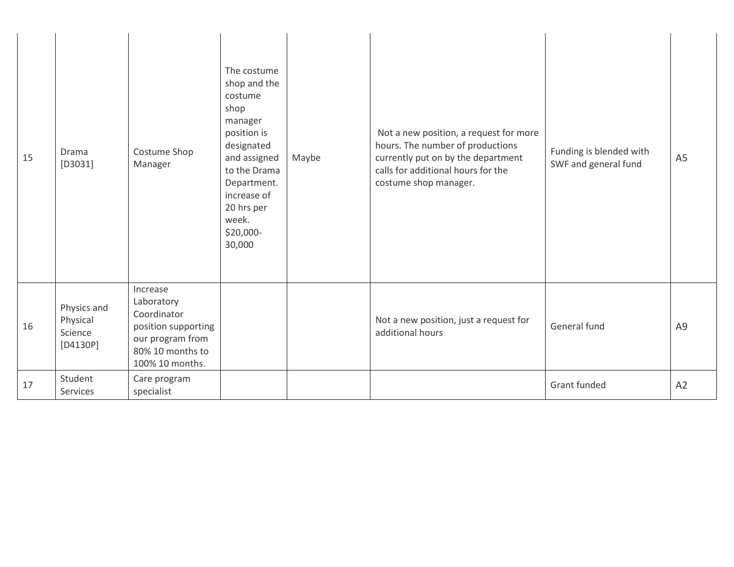| 15 | Drama<br>$[D3031]$                               | Costume Shop<br>Manager                                                                                                 | The costume<br>shop and the<br>costume<br>shop<br>manager<br>position is<br>designated<br>and assigned<br>to the Drama<br>Department.<br>increase of<br>20 hrs per<br>week.<br>\$20,000-<br>30,000 | Maybe | Not a new position, a request for more<br>hours. The number of productions<br>currently put on by the department<br>calls for additional hours for the<br>costume shop manager. | Funding is blended with<br>SWF and general fund | A <sub>5</sub> |
|----|--------------------------------------------------|-------------------------------------------------------------------------------------------------------------------------|----------------------------------------------------------------------------------------------------------------------------------------------------------------------------------------------------|-------|---------------------------------------------------------------------------------------------------------------------------------------------------------------------------------|-------------------------------------------------|----------------|
| 16 | Physics and<br>Physical<br>Science<br>$[D4130P]$ | Increase<br>Laboratory<br>Coordinator<br>position supporting<br>our program from<br>80% 10 months to<br>100% 10 months. |                                                                                                                                                                                                    |       | Not a new position, just a request for<br>additional hours                                                                                                                      | General fund                                    | A <sub>9</sub> |
| 17 | Student<br>Services                              | Care program<br>specialist                                                                                              |                                                                                                                                                                                                    |       |                                                                                                                                                                                 | Grant funded                                    | A2             |